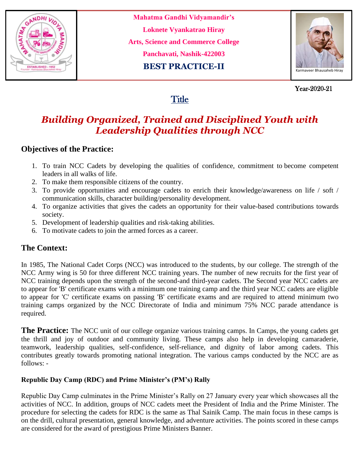

**Mahatma Gandhi Vidyamandir's Loknete Vyankatrao Hiray Arts, Science and Commerce College Panchavati, Nashik-422003 BEST PRACTICE-II**



 Year-2020-21 Year-2020-21

# **Title**

# *Building Organized, Trained and Disciplined Youth with Leadership Qualities through NCC*

### **Objectives of the Practice:**

- 1. To train NCC Cadets by developing the qualities of confidence, commitment to become competent leaders in all walks of life.
- 2. To make them responsible citizens of the country.
- 3. To provide opportunities and encourage cadets to enrich their knowledge/awareness on life / soft / communication skills, character building/personality development.
- 4. To organize activities that gives the cadets an opportunity for their value-based contributions towards society.
- 5. Development of leadership qualities and risk-taking abilities.
- 6. To motivate cadets to join the armed forces as a career.

## **The Context:**

In 1985, The National Cadet Corps (NCC) was introduced to the students, by our college. The strength of the NCC Army wing is 50 for three different NCC training years. The number of new recruits for the first year of NCC training depends upon the strength of the second-and third-year cadets. The Second year NCC cadets are to appear for 'B' certificate exams with a minimum one training camp and the third year NCC cadets are eligible to appear for 'C' certificate exams on passing 'B' certificate exams and are required to attend minimum two training camps organized by the NCC Directorate of India and minimum 75% NCC parade attendance is required.

**The Practice:** The NCC unit of our college organize various training camps. In Camps, the young cadets get the thrill and joy of outdoor and community living. These camps also help in developing camaraderie, teamwork, leadership qualities, self-confidence, self-reliance, and dignity of labor among cadets. This contributes greatly towards promoting national integration. The various camps conducted by the NCC are as follows: -

### **Republic Day Camp (RDC) and Prime Minister's (PM's) Rally**

Republic Day Camp culminates in the Prime Minister's Rally on 27 January every year which showcases all the activities of NCC. In addition, groups of NCC cadets meet the President of India and the Prime Minister. The procedure for selecting the cadets for RDC is the same as Thal Sainik Camp. The main focus in these camps is on the drill, cultural presentation, general knowledge, and adventure activities. The points scored in these camps are considered for the award of prestigious Prime Ministers Banner.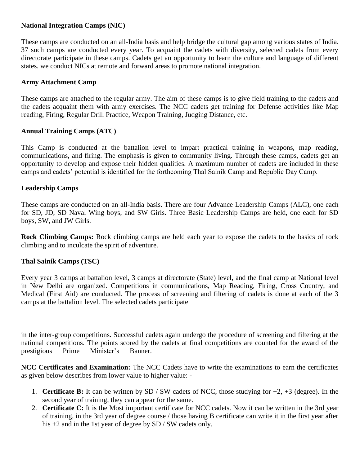#### **National Integration Camps (NIC)**

These camps are conducted on an all-India basis and help bridge the cultural gap among various states of India. 37 such camps are conducted every year. To acquaint the cadets with diversity, selected cadets from every directorate participate in these camps. Cadets get an opportunity to learn the culture and language of different states. we conduct NICs at remote and forward areas to promote national integration.

#### **Army Attachment Camp**

These camps are attached to the regular army. The aim of these camps is to give field training to the cadets and the cadets acquaint them with army exercises. The NCC cadets get training for Defense activities like Map reading, Firing, Regular Drill Practice, Weapon Training, Judging Distance, etc.

#### **Annual Training Camps (ATC)**

This Camp is conducted at the battalion level to impart practical training in weapons, map reading, communications, and firing. The emphasis is given to community living. Through these camps, cadets get an opportunity to develop and expose their hidden qualities. A maximum number of cadets are included in these camps and cadets' potential is identified for the forthcoming Thal Sainik Camp and Republic Day Camp.

#### **Leadership Camps**

These camps are conducted on an all-India basis. There are four Advance Leadership Camps (ALC), one each for SD, JD, SD Naval Wing boys, and SW Girls. Three Basic Leadership Camps are held, one each for SD boys, SW, and JW Girls.

**Rock Climbing Camps:** Rock climbing camps are held each year to expose the cadets to the basics of rock climbing and to inculcate the spirit of adventure.

#### **Thal Sainik Camps (TSC)**

Every year 3 camps at battalion level, 3 camps at directorate (State) level, and the final camp at National level in New Delhi are organized. Competitions in communications, Map Reading, Firing, Cross Country, and Medical (First Aid) are conducted. The process of screening and filtering of cadets is done at each of the 3 camps at the battalion level. The selected cadets participate

in the inter-group competitions. Successful cadets again undergo the procedure of screening and filtering at the national competitions. The points scored by the cadets at final competitions are counted for the award of the prestigious Prime Minister's Banner.

**NCC Certificates and Examination:** The NCC Cadets have to write the examinations to earn the certificates as given below describes from lower value to higher value: -

- 1. **Certificate B:** It can be written by SD / SW cadets of NCC, those studying for +2, +3 (degree). In the second year of training, they can appear for the same.
- 2. **Certificate C:** It is the Most important certificate for NCC cadets. Now it can be written in the 3rd year of training, in the 3rd year of degree course / those having B certificate can write it in the first year after his +2 and in the 1st year of degree by SD / SW cadets only.